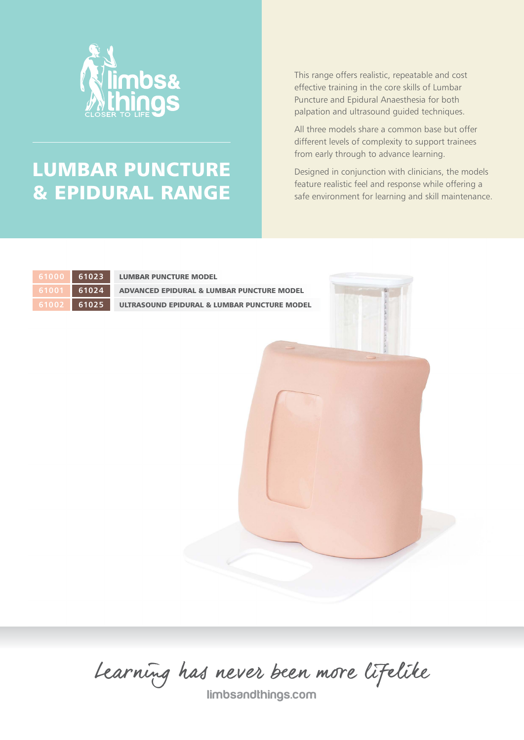

# LUMBAR PUNCTURE & EPIDURAL RANGE

This range offers realistic, repeatable and cost effective training in the core skills of Lumbar Puncture and Epidural Anaesthesia for both palpation and ultrasound guided techniques.

All three models share a common base but offer different levels of complexity to support trainees from early through to advance learning.

Designed in conjunction with clinicians, the models feature realistic feel and response while offering a safe environment for learning and skill maintenance.



LUMBAR PUNCTURE MODEL

ADVANCED EPIDURAL & LUMBAR PUNCTURE MODEL ULTRASOUND EPIDURAL & LUMBAR PUNCTURE MODEL



limbsandthings.com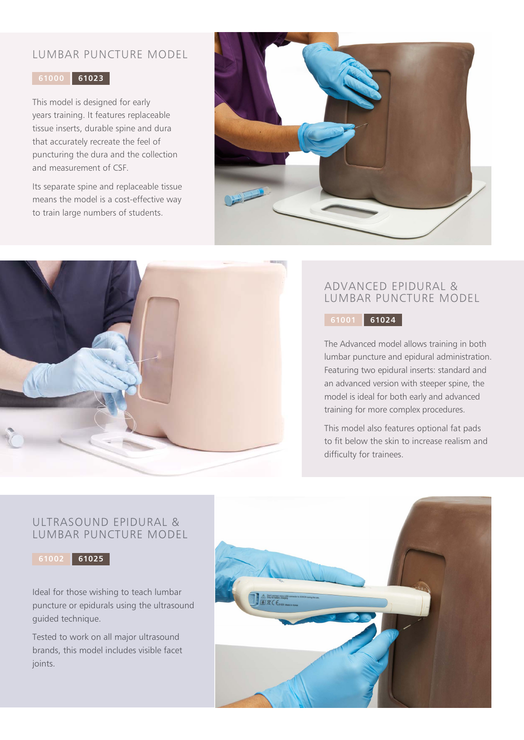## LUMBAR PUNCTURE MODEL

#### **61000 61023**

This model is designed for early years training. It features replaceable tissue inserts, durable spine and dura that accurately recreate the feel of puncturing the dura and the collection and measurement of CSF.

Its separate spine and replaceable tissue means the model is a cost-effective way to train large numbers of students.





## ADVANCED EPIDURAL & LUMBAR PUNCTURE MODEL

**61001 61024**

The Advanced model allows training in both lumbar puncture and epidural administration. Featuring two epidural inserts: standard and an advanced version with steeper spine, the model is ideal for both early and advanced training for more complex procedures.

This model also features optional fat pads to fit below the skin to increase realism and difficulty for trainees.

### ULTRASOUND EPIDURAL & LUMBAR PUNCTURE MODEL



Ideal for those wishing to teach lumbar puncture or epidurals using the ultrasound guided technique.

Tested to work on all major ultrasound brands, this model includes visible facet joints.

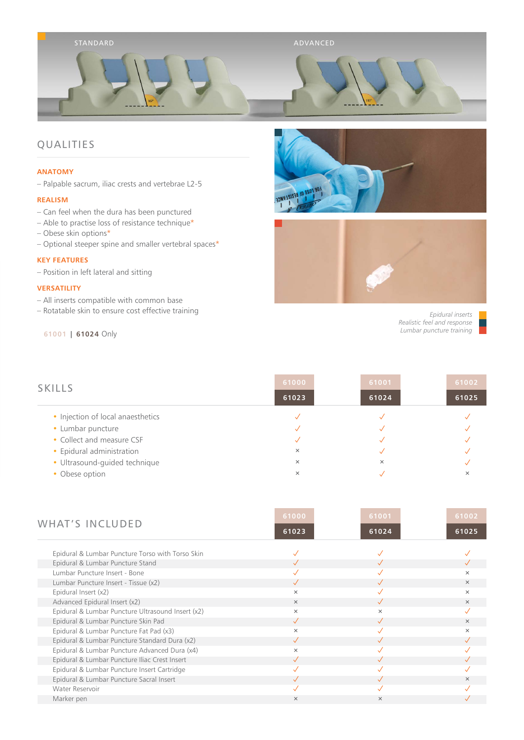

## QUALITIES

#### **ANATOMY**

– Palpable sacrum, iliac crests and vertebrae L2-5

#### **REALISM**

- Can feel when the dura has been punctured
- Able to practise loss of resistance technique\*
- Obese skin options\*
- Optional steeper spine and smaller vertebral spaces\*

#### **KEY FEATURES**

– Position in left lateral and sitting

#### **VERSATILITY**

- All inserts compatible with common base
- Rotatable skin to ensure cost effective training

#### **\* 61001 | 61024** Only



*Epidural inserts* *Realistic feel and response* *Lumbar puncture training*

| <b>SKILLS</b>                     | 61000    | 61001    | 61002 |
|-----------------------------------|----------|----------|-------|
|                                   | 61023    | 61024    | 61025 |
| • Injection of local anaesthetics |          |          |       |
| • Lumbar puncture                 |          |          |       |
| • Collect and measure CSF         |          |          |       |
| • Epidural administration         | $\times$ |          |       |
| · Ultrasound-guided technique     | $\times$ | $\times$ |       |
| • Obese option                    | $\times$ |          | ×     |
|                                   |          |          |       |

| <b>WHAT'S INCLUDED</b>                            | 61000        | 61001    | 61002    |
|---------------------------------------------------|--------------|----------|----------|
|                                                   | 61023        | 61024    | 61025    |
| Epidural & Lumbar Puncture Torso with Torso Skin  |              |          |          |
| Epidural & Lumbar Puncture Stand                  |              |          |          |
| Lumbar Puncture Insert - Bone                     |              |          | $\times$ |
| Lumbar Puncture Insert - Tissue (x2)              |              |          | $\times$ |
| Epidural Insert (x2)                              | $\times$     |          | $\times$ |
| Advanced Epidural Insert (x2)                     | $\times$     |          | $\times$ |
| Epidural & Lumbar Puncture Ultrasound Insert (x2) | $\times$     | $\times$ |          |
| Epidural & Lumbar Puncture Skin Pad               | $\checkmark$ |          | $\times$ |
| Epidural & Lumbar Puncture Fat Pad (x3)           | $\times$     |          | $\times$ |
| Epidural & Lumbar Puncture Standard Dura (x2)     | $\checkmark$ |          |          |
| Epidural & Lumbar Puncture Advanced Dura (x4)     | $\times$     |          |          |
| Epidural & Lumbar Puncture Iliac Crest Insert     | $\sqrt{}$    |          |          |
| Epidural & Lumbar Puncture Insert Cartridge       |              |          |          |
| Epidural & Lumbar Puncture Sacral Insert          |              |          | $\times$ |
| Water Reservoir                                   |              |          |          |
| Marker pen                                        | $\times$     | $\times$ |          |
|                                                   |              |          |          |